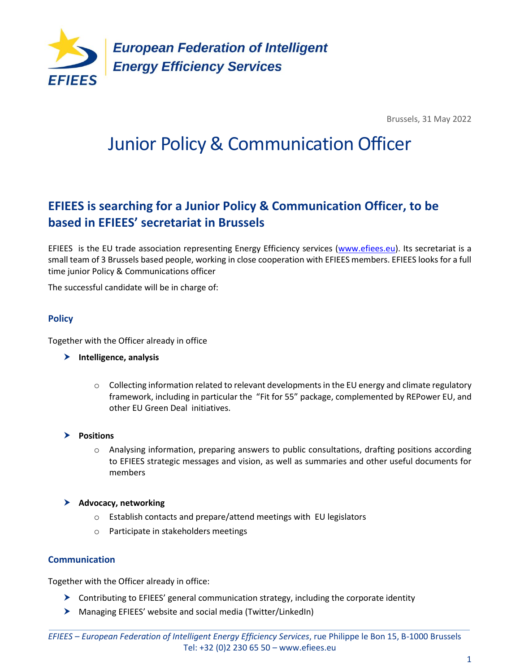

Brussels, 31 May 2022

# Junior Policy & Communication Officer

## **EFIEES is searching for a Junior Policy & Communication Officer, to be based in EFIEES' secretariat in Brussels**

EFIEES is the EU trade association representing Energy Efficiency services [\(www.efiees.eu\)](http://www.efiees.eu/). Its secretariat is a small team of 3 Brussels based people, working in close cooperation with EFIEES members. EFIEES looks for a full time junior Policy & Communications officer

The successful candidate will be in charge of:

#### **Policy**

Together with the Officer already in office

- **Intelligence, analysis**
	- $\circ$  Collecting information related to relevant developments in the EU energy and climate regulatory framework, including in particular the "Fit for 55" package, complemented by REPower EU, and other EU Green Deal initiatives.
- **Positions**
	- o Analysing information, preparing answers to public consultations, drafting positions according to EFIEES strategic messages and vision, as well as summaries and other useful documents for members
- **Advocacy, networking**
	- o Establish contacts and prepare/attend meetings with EU legislators
	- o Participate in stakeholders meetings

#### **Communication**

Together with the Officer already in office:

- $\triangleright$  Contributing to EFIEES' general communication strategy, including the corporate identity
- Managing EFIEES' website and social media (Twitter/LinkedIn)